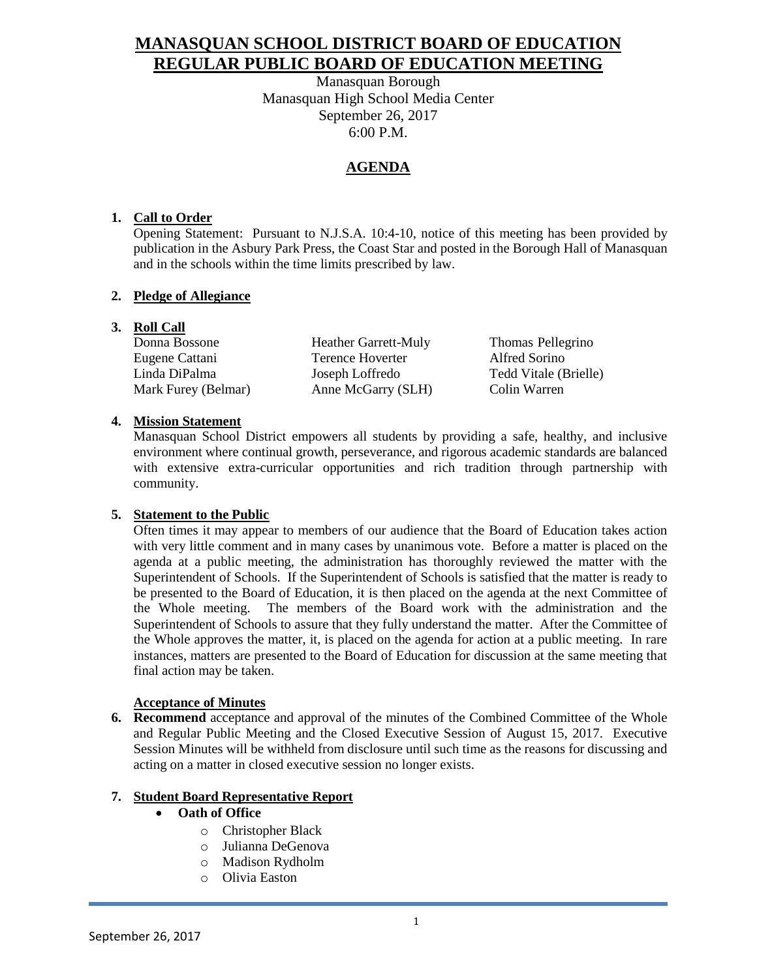# **MANASQUAN SCHOOL DISTRICT BOARD OF EDUCATION REGULAR PUBLIC BOARD OF EDUCATION MEETING**

Manasquan Borough Manasquan High School Media Center September 26, 2017 6:00 P.M.

## **AGENDA**

## **1. Call to Order**

Opening Statement: Pursuant to N.J.S.A. 10:4-10, notice of this meeting has been provided by publication in the Asbury Park Press, the Coast Star and posted in the Borough Hall of Manasquan and in the schools within the time limits prescribed by law.

## **2. Pledge of Allegiance**

## **3. Roll Call**

| Donna Bossone       |  |
|---------------------|--|
| Eugene Cattani      |  |
| Linda DiPalma       |  |
| Mark Furey (Belmar) |  |

Heather Garrett-Muly Thomas Pellegrino Terence Hoverter Alfred Sorino Joseph Loffredo Tedd Vitale (Brielle) Anne McGarry (SLH) Colin Warren

## **4. Mission Statement**

Manasquan School District empowers all students by providing a safe, healthy, and inclusive environment where continual growth, perseverance, and rigorous academic standards are balanced with extensive extra-curricular opportunities and rich tradition through partnership with community.

## **5. Statement to the Public**

Often times it may appear to members of our audience that the Board of Education takes action with very little comment and in many cases by unanimous vote. Before a matter is placed on the agenda at a public meeting, the administration has thoroughly reviewed the matter with the Superintendent of Schools. If the Superintendent of Schools is satisfied that the matter is ready to be presented to the Board of Education, it is then placed on the agenda at the next Committee of the Whole meeting. The members of the Board work with the administration and the Superintendent of Schools to assure that they fully understand the matter. After the Committee of the Whole approves the matter, it, is placed on the agenda for action at a public meeting. In rare instances, matters are presented to the Board of Education for discussion at the same meeting that final action may be taken.

## **Acceptance of Minutes**

**6. Recommend** acceptance and approval of the minutes of the Combined Committee of the Whole and Regular Public Meeting and the Closed Executive Session of August 15, 2017. Executive Session Minutes will be withheld from disclosure until such time as the reasons for discussing and acting on a matter in closed executive session no longer exists.

## **7. Student Board Representative Report**

- **Oath of Office**
	- o Christopher Black
	- o Julianna DeGenova
	- o Madison Rydholm
	- o Olivia Easton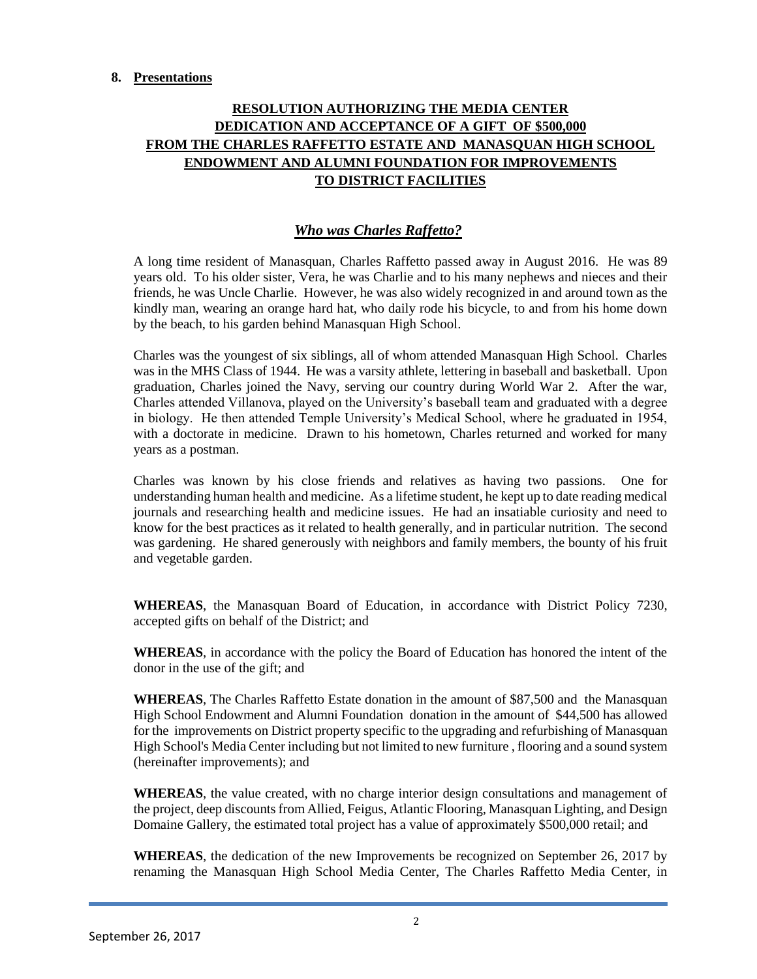#### **8. Presentations**

## **RESOLUTION AUTHORIZING THE MEDIA CENTER DEDICATION AND ACCEPTANCE OF A GIFT OF \$500,000 FROM THE CHARLES RAFFETTO ESTATE AND MANASQUAN HIGH SCHOOL ENDOWMENT AND ALUMNI FOUNDATION FOR IMPROVEMENTS TO DISTRICT FACILITIES**

## *Who was Charles Raffetto?*

A long time resident of Manasquan, Charles Raffetto passed away in August 2016. He was 89 years old. To his older sister, Vera, he was Charlie and to his many nephews and nieces and their friends, he was Uncle Charlie. However, he was also widely recognized in and around town as the kindly man, wearing an orange hard hat, who daily rode his bicycle, to and from his home down by the beach, to his garden behind Manasquan High School.

Charles was the youngest of six siblings, all of whom attended Manasquan High School. Charles was in the MHS Class of 1944. He was a varsity athlete, lettering in baseball and basketball. Upon graduation, Charles joined the Navy, serving our country during World War 2. After the war, Charles attended Villanova, played on the University's baseball team and graduated with a degree in biology. He then attended Temple University's Medical School, where he graduated in 1954, with a doctorate in medicine. Drawn to his hometown, Charles returned and worked for many years as a postman.

Charles was known by his close friends and relatives as having two passions. One for understanding human health and medicine. As a lifetime student, he kept up to date reading medical journals and researching health and medicine issues. He had an insatiable curiosity and need to know for the best practices as it related to health generally, and in particular nutrition. The second was gardening. He shared generously with neighbors and family members, the bounty of his fruit and vegetable garden.

**WHEREAS**, the Manasquan Board of Education, in accordance with District Policy 7230, accepted gifts on behalf of the District; and

**WHEREAS**, in accordance with the policy the Board of Education has honored the intent of the donor in the use of the gift; and

**WHEREAS**, The Charles Raffetto Estate donation in the amount of \$87,500 and the Manasquan High School Endowment and Alumni Foundation donation in the amount of \$44,500 has allowed for the improvements on District property specific to the upgrading and refurbishing of Manasquan High School's Media Center including but not limited to new furniture , flooring and a sound system (hereinafter improvements); and

**WHEREAS**, the value created, with no charge interior design consultations and management of the project, deep discounts from Allied, Feigus, Atlantic Flooring, Manasquan Lighting, and Design Domaine Gallery, the estimated total project has a value of approximately \$500,000 retail; and

**WHEREAS**, the dedication of the new Improvements be recognized on September 26, 2017 by renaming the Manasquan High School Media Center, The Charles Raffetto Media Center, in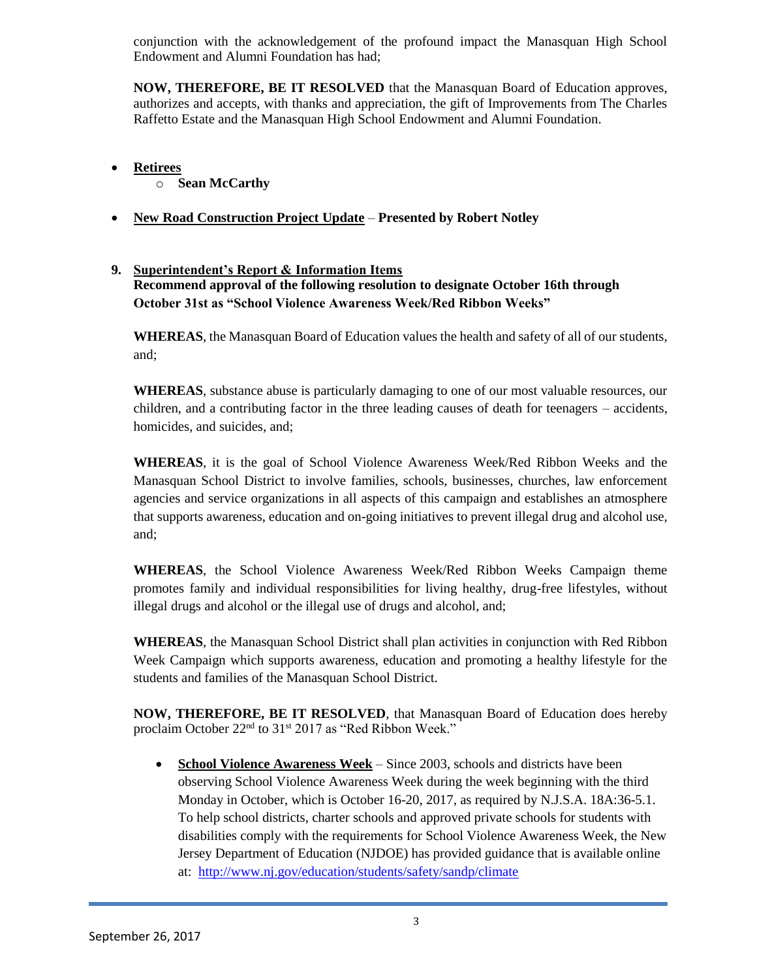conjunction with the acknowledgement of the profound impact the Manasquan High School Endowment and Alumni Foundation has had;

**NOW, THEREFORE, BE IT RESOLVED** that the Manasquan Board of Education approves, authorizes and accepts, with thanks and appreciation, the gift of Improvements from The Charles Raffetto Estate and the Manasquan High School Endowment and Alumni Foundation.

- **Retirees**
	- o **Sean McCarthy**
- **New Road Construction Project Update Presented by Robert Notley**

## **9. Superintendent's Report & Information Items Recommend approval of the following resolution to designate October 16th through October 31st as "School Violence Awareness Week/Red Ribbon Weeks"**

**WHEREAS**, the Manasquan Board of Education values the health and safety of all of our students, and;

**WHEREAS**, substance abuse is particularly damaging to one of our most valuable resources, our children, and a contributing factor in the three leading causes of death for teenagers – accidents, homicides, and suicides, and;

**WHEREAS**, it is the goal of School Violence Awareness Week/Red Ribbon Weeks and the Manasquan School District to involve families, schools, businesses, churches, law enforcement agencies and service organizations in all aspects of this campaign and establishes an atmosphere that supports awareness, education and on-going initiatives to prevent illegal drug and alcohol use, and;

**WHEREAS**, the School Violence Awareness Week/Red Ribbon Weeks Campaign theme promotes family and individual responsibilities for living healthy, drug-free lifestyles, without illegal drugs and alcohol or the illegal use of drugs and alcohol, and;

**WHEREAS**, the Manasquan School District shall plan activities in conjunction with Red Ribbon Week Campaign which supports awareness, education and promoting a healthy lifestyle for the students and families of the Manasquan School District.

**NOW, THEREFORE, BE IT RESOLVED**, that Manasquan Board of Education does hereby proclaim October 22<sup>nd</sup> to 31<sup>st</sup> 2017 as "Red Ribbon Week."

 **School Violence Awareness Week** – Since 2003, schools and districts have been observing School Violence Awareness Week during the week beginning with the third Monday in October, which is October 16-20, 2017, as required by N.J.S.A. 18A:36-5.1. To help school districts, charter schools and approved private schools for students with disabilities comply with the requirements for School Violence Awareness Week, the New Jersey Department of Education (NJDOE) has provided guidance that is available online at: <http://www.nj.gov/education/students/safety/sandp/climate>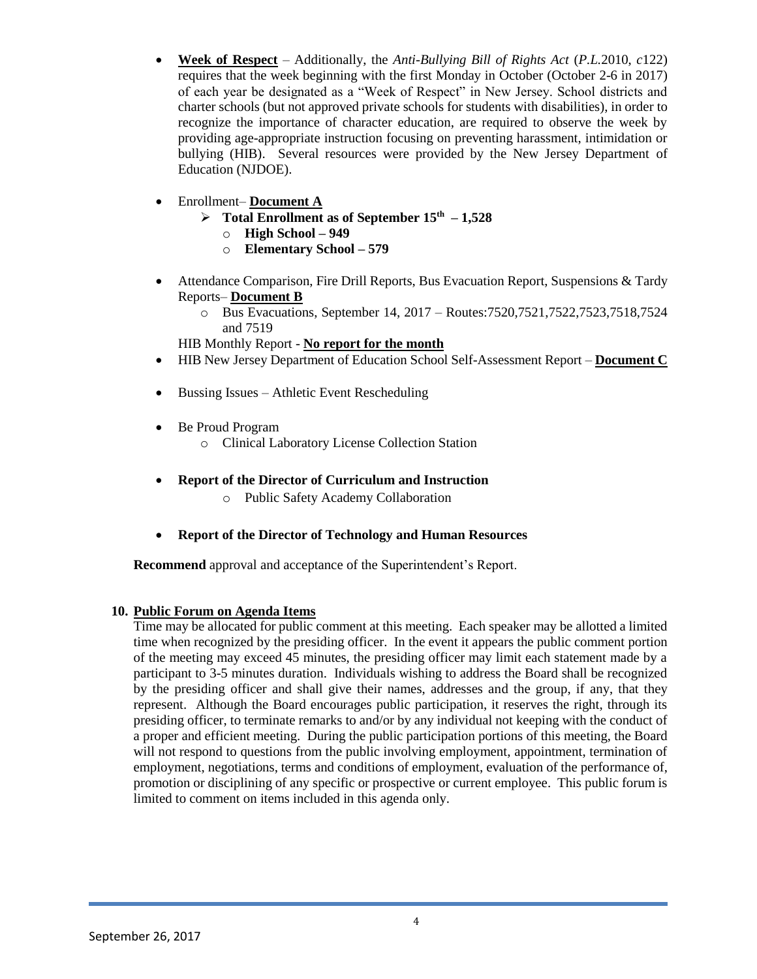- **Week of Respect** Additionally, the *Anti-Bullying Bill of Rights Act* (*P.L.*2010, *c*122) requires that the week beginning with the first Monday in October (October 2-6 in 2017) of each year be designated as a "Week of Respect" in New Jersey. School districts and charter schools (but not approved private schools for students with disabilities), in order to recognize the importance of character education, are required to observe the week by providing age-appropriate instruction focusing on preventing harassment, intimidation or bullying (HIB). Several resources were provided by the New Jersey Department of Education (NJDOE).
- Enrollment– **Document A**
	- $\triangleright$  Total Enrollment as of September  $15<sup>th</sup> 1,528$ 
		- o **High School – 949**
		- o **Elementary School – 579**
- Attendance Comparison, Fire Drill Reports, Bus Evacuation Report, Suspensions & Tardy Reports– **Document B**
	- o Bus Evacuations, September 14, 2017 Routes:7520,7521,7522,7523,7518,7524 and 7519

HIB Monthly Report - **No report for the month** 

- HIB New Jersey Department of Education School Self-Assessment Report **Document C**
- Bussing Issues Athletic Event Rescheduling
- Be Proud Program
	- o Clinical Laboratory License Collection Station
- **Report of the Director of Curriculum and Instruction**
	- o Public Safety Academy Collaboration
- **Report of the Director of Technology and Human Resources**

**Recommend** approval and acceptance of the Superintendent's Report.

## **10. Public Forum on Agenda Items**

Time may be allocated for public comment at this meeting. Each speaker may be allotted a limited time when recognized by the presiding officer. In the event it appears the public comment portion of the meeting may exceed 45 minutes, the presiding officer may limit each statement made by a participant to 3-5 minutes duration. Individuals wishing to address the Board shall be recognized by the presiding officer and shall give their names, addresses and the group, if any, that they represent. Although the Board encourages public participation, it reserves the right, through its presiding officer, to terminate remarks to and/or by any individual not keeping with the conduct of a proper and efficient meeting. During the public participation portions of this meeting, the Board will not respond to questions from the public involving employment, appointment, termination of employment, negotiations, terms and conditions of employment, evaluation of the performance of, promotion or disciplining of any specific or prospective or current employee. This public forum is limited to comment on items included in this agenda only.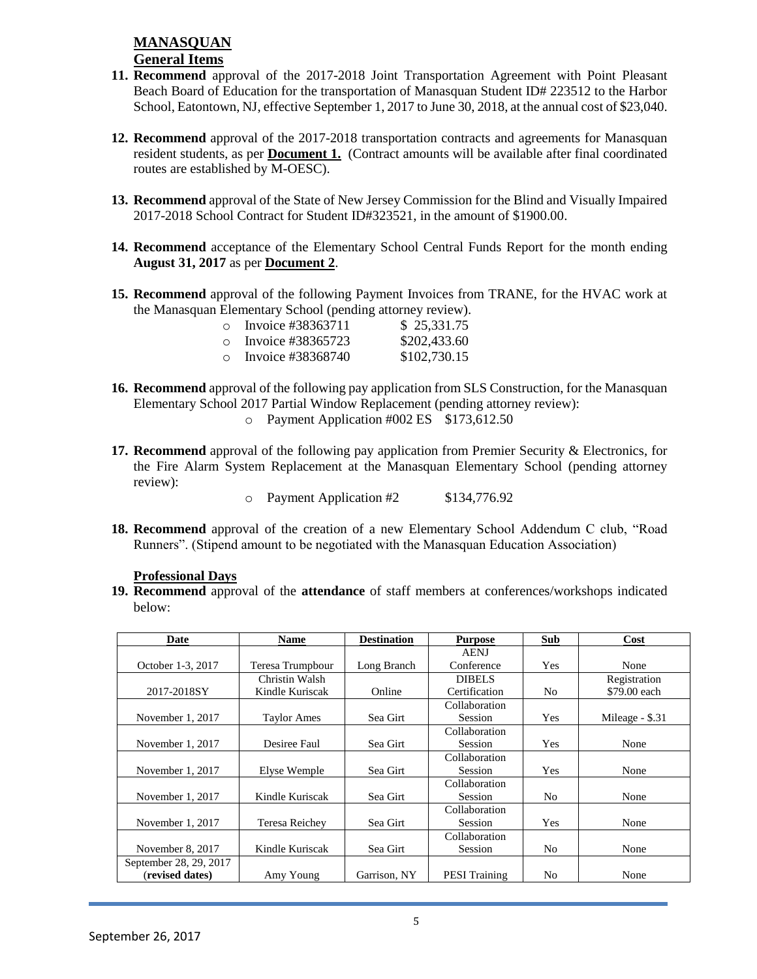## **MANASQUAN General Items**

- **11. Recommend** approval of the 2017-2018 Joint Transportation Agreement with Point Pleasant Beach Board of Education for the transportation of Manasquan Student ID# 223512 to the Harbor School, Eatontown, NJ, effective September 1, 2017 to June 30, 2018, at the annual cost of \$23,040.
- **12. Recommend** approval of the 2017-2018 transportation contracts and agreements for Manasquan resident students, as per **Document 1.** (Contract amounts will be available after final coordinated routes are established by M-OESC).
- **13. Recommend** approval of the State of New Jersey Commission for the Blind and Visually Impaired 2017-2018 School Contract for Student ID#323521, in the amount of \$1900.00.
- **14. Recommend** acceptance of the Elementary School Central Funds Report for the month ending **August 31, 2017** as per **Document 2**.
- **15. Recommend** approval of the following Payment Invoices from TRANE, for the HVAC work at the Manasquan Elementary School (pending attorney review).

| $\cap$ | Invoice #38363711   |  | \$25,331.75  |  |
|--------|---------------------|--|--------------|--|
|        | o Invoice #38365723 |  | \$202,433.60 |  |
| $\cap$ | Invoice #38368740   |  | \$102,730.15 |  |

- **16. Recommend** approval of the following pay application from SLS Construction, for the Manasquan Elementary School 2017 Partial Window Replacement (pending attorney review): o Payment Application #002 ES \$173,612.50
- **17. Recommend** approval of the following pay application from Premier Security & Electronics, for the Fire Alarm System Replacement at the Manasquan Elementary School (pending attorney review):

o Payment Application #2 \$134,776.92

**18. Recommend** approval of the creation of a new Elementary School Addendum C club, "Road Runners". (Stipend amount to be negotiated with the Manasquan Education Association)

#### **Professional Days**

**19. Recommend** approval of the **attendance** of staff members at conferences/workshops indicated below:

| Date                   | <b>Name</b>        | <b>Destination</b> | <b>Purpose</b>       | Sub            | Cost            |
|------------------------|--------------------|--------------------|----------------------|----------------|-----------------|
|                        |                    |                    | <b>AENJ</b>          |                |                 |
| October 1-3, 2017      | Teresa Trumpbour   | Long Branch        | Conference           | Yes            | None            |
|                        | Christin Walsh     |                    | <b>DIBELS</b>        |                | Registration    |
| 2017-2018SY            | Kindle Kuriscak    | Online             | Certification        | N <sub>0</sub> | \$79.00 each    |
|                        |                    |                    | Collaboration        |                |                 |
| November 1, 2017       | <b>Taylor Ames</b> | Sea Girt           | <b>Session</b>       | Yes            | Mileage - \$.31 |
|                        |                    |                    | Collaboration        |                |                 |
| November 1, 2017       | Desiree Faul       | Sea Girt           | <b>Session</b>       | Yes            | None            |
|                        |                    |                    | Collaboration        |                |                 |
| November 1, 2017       | Elyse Wemple       | Sea Girt           | <b>Session</b>       | Yes            | None            |
|                        |                    |                    | Collaboration        |                |                 |
| November 1, 2017       | Kindle Kuriscak    | Sea Girt           | <b>Session</b>       | N <sub>0</sub> | None            |
|                        |                    |                    | Collaboration        |                |                 |
| November 1, 2017       | Teresa Reichey     | Sea Girt           | Session              | Yes            | None            |
|                        |                    |                    | Collaboration        |                |                 |
| November 8, 2017       | Kindle Kuriscak    | Sea Girt           | Session              | No             | None            |
| September 28, 29, 2017 |                    |                    |                      |                |                 |
| (revised dates)        | Amy Young          | Garrison, NY       | <b>PESI</b> Training | N <sub>0</sub> | None            |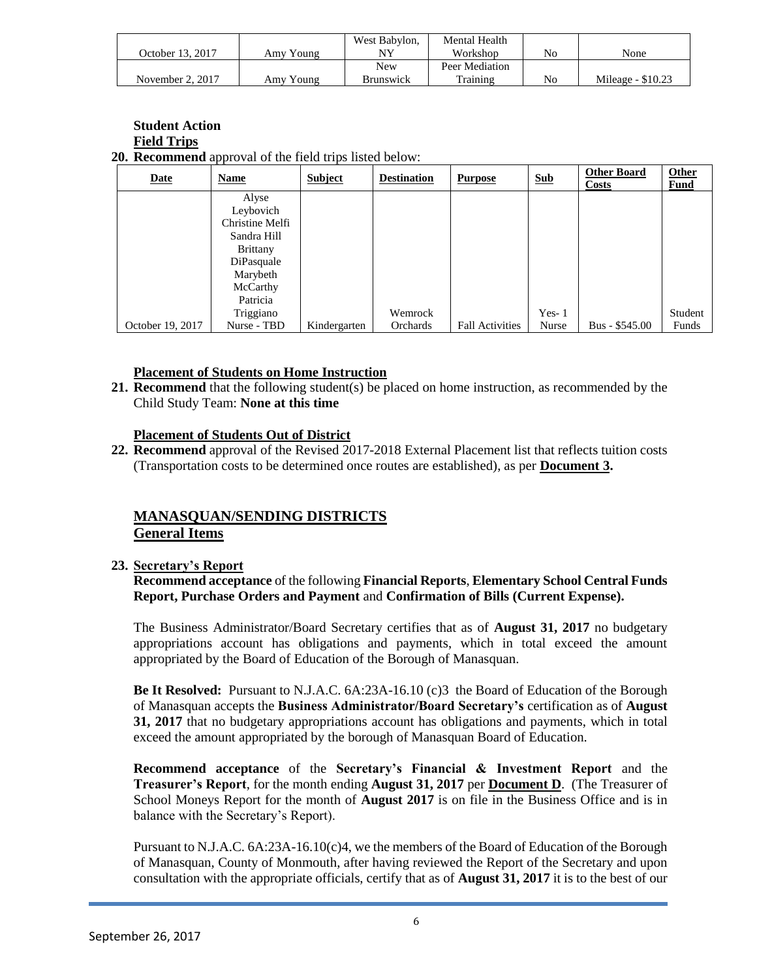|                  |           | West Babylon,    | Mental Health  |    |                    |
|------------------|-----------|------------------|----------------|----|--------------------|
| October 13. 2017 | Amy Young | NV               | Workshop       | Nc | None               |
|                  |           | New              | Peer Mediation |    |                    |
| November 2, 2017 | Amv Young | <b>Brunswick</b> | Training       | No | Mileage - $$10.23$ |

| <b>Student Action</b>                                          |
|----------------------------------------------------------------|
| <b>Field Trips</b>                                             |
| <b>20. Recommend</b> approval of the field trips listed below: |

| <b>Date</b>      | Name            | <b>Subject</b> | <b>Destination</b> | <b>Purpose</b>         | <b>Sub</b> | <b>Other Board</b><br><b>Costs</b> | <b>Other</b><br>Fund |
|------------------|-----------------|----------------|--------------------|------------------------|------------|------------------------------------|----------------------|
|                  | Alyse           |                |                    |                        |            |                                    |                      |
|                  | Leybovich       |                |                    |                        |            |                                    |                      |
|                  | Christine Melfi |                |                    |                        |            |                                    |                      |
|                  | Sandra Hill     |                |                    |                        |            |                                    |                      |
|                  | <b>Brittany</b> |                |                    |                        |            |                                    |                      |
|                  | DiPasquale      |                |                    |                        |            |                                    |                      |
|                  | Marybeth        |                |                    |                        |            |                                    |                      |
|                  | McCarthy        |                |                    |                        |            |                                    |                      |
|                  | Patricia        |                |                    |                        |            |                                    |                      |
|                  | Triggiano       |                | Wemrock            |                        | $Yes-1$    |                                    | Student              |
| October 19, 2017 | Nurse - TBD     | Kindergarten   | Orchards           | <b>Fall Activities</b> | Nurse      | Bus - \$545.00                     | Funds                |

#### **Placement of Students on Home Instruction**

**21. Recommend** that the following student(s) be placed on home instruction, as recommended by the Child Study Team: **None at this time**

#### **Placement of Students Out of District**

**22. Recommend** approval of the Revised 2017-2018 External Placement list that reflects tuition costs (Transportation costs to be determined once routes are established), as per **Document 3.**

## **MANASQUAN/SENDING DISTRICTS General Items**

#### **23. Secretary's Report**

**Recommend acceptance** of the following **Financial Reports**, **Elementary School Central Funds Report, Purchase Orders and Payment** and **Confirmation of Bills (Current Expense).**

The Business Administrator/Board Secretary certifies that as of **August 31, 2017** no budgetary appropriations account has obligations and payments, which in total exceed the amount appropriated by the Board of Education of the Borough of Manasquan.

**Be It Resolved:** Pursuant to N.J.A.C. 6A:23A-16.10 (c)3 the Board of Education of the Borough of Manasquan accepts the **Business Administrator/Board Secretary's** certification as of **August 31, 2017** that no budgetary appropriations account has obligations and payments, which in total exceed the amount appropriated by the borough of Manasquan Board of Education.

**Recommend acceptance** of the **Secretary's Financial & Investment Report** and the **Treasurer's Report**, for the month ending **August 31, 2017** per **Document D**. (The Treasurer of School Moneys Report for the month of **August 2017** is on file in the Business Office and is in balance with the Secretary's Report).

Pursuant to N.J.A.C. 6A:23A-16.10(c)4, we the members of the Board of Education of the Borough of Manasquan, County of Monmouth, after having reviewed the Report of the Secretary and upon consultation with the appropriate officials, certify that as of **August 31, 2017** it is to the best of our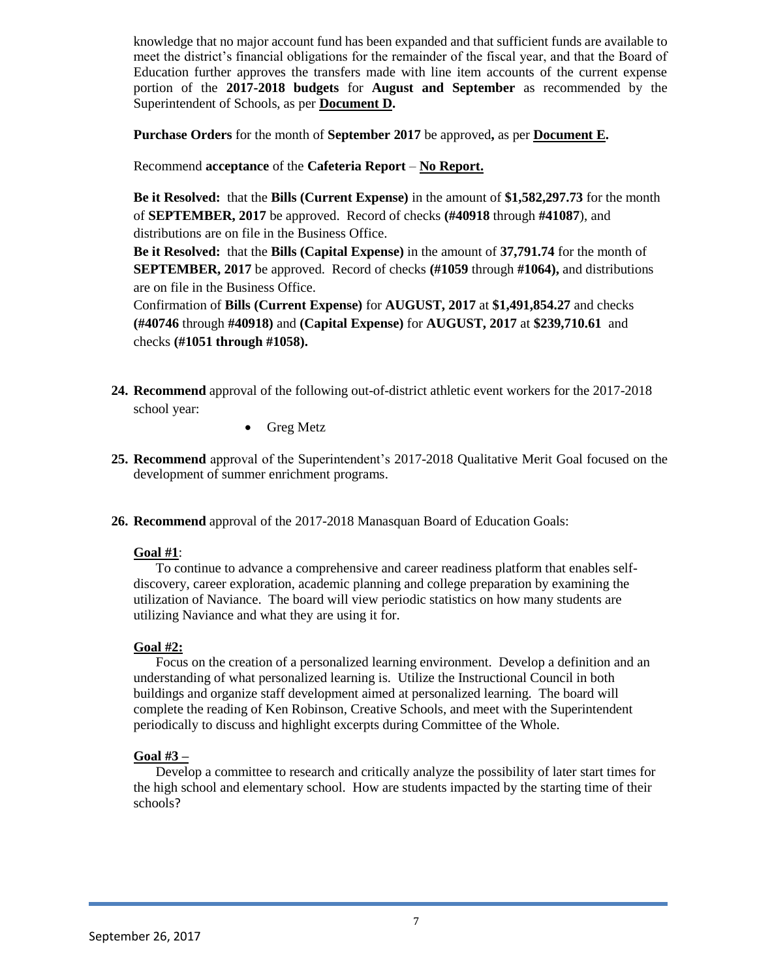knowledge that no major account fund has been expanded and that sufficient funds are available to meet the district's financial obligations for the remainder of the fiscal year, and that the Board of Education further approves the transfers made with line item accounts of the current expense portion of the **2017-2018 budgets** for **August and September** as recommended by the Superintendent of Schools, as per **Document D.**

**Purchase Orders** for the month of **September 2017** be approved**,** as per **Document E.**

Recommend **acceptance** of the **Cafeteria Report** – **No Report.**

**Be it Resolved:** that the **Bills (Current Expense)** in the amount of **\$1,582,297.73** for the month of **SEPTEMBER, 2017** be approved. Record of checks **(#40918** through **#41087**), and distributions are on file in the Business Office.

**Be it Resolved:** that the **Bills (Capital Expense)** in the amount of **37,791.74** for the month of **SEPTEMBER, 2017** be approved. Record of checks **(#1059** through **#1064),** and distributions are on file in the Business Office.

Confirmation of **Bills (Current Expense)** for **AUGUST, 2017** at **\$1,491,854.27** and checks **(#40746** through **#40918)** and **(Capital Expense)** for **AUGUST, 2017** at **\$239,710.61** and checks **(#1051 through #1058).**

- **24. Recommend** approval of the following out-of-district athletic event workers for the 2017-2018 school year:
	- Greg Metz
- **25. Recommend** approval of the Superintendent's 2017-2018 Qualitative Merit Goal focused on the development of summer enrichment programs.
- **26. Recommend** approval of the 2017-2018 Manasquan Board of Education Goals:

#### **Goal #1**:

To continue to advance a comprehensive and career readiness platform that enables selfdiscovery, career exploration, academic planning and college preparation by examining the utilization of Naviance. The board will view periodic statistics on how many students are utilizing Naviance and what they are using it for.

#### **Goal #2:**

Focus on the creation of a personalized learning environment. Develop a definition and an understanding of what personalized learning is. Utilize the Instructional Council in both buildings and organize staff development aimed at personalized learning. The board will complete the reading of Ken Robinson, Creative Schools, and meet with the Superintendent periodically to discuss and highlight excerpts during Committee of the Whole.

#### **Goal #3 –**

Develop a committee to research and critically analyze the possibility of later start times for the high school and elementary school. How are students impacted by the starting time of their schools?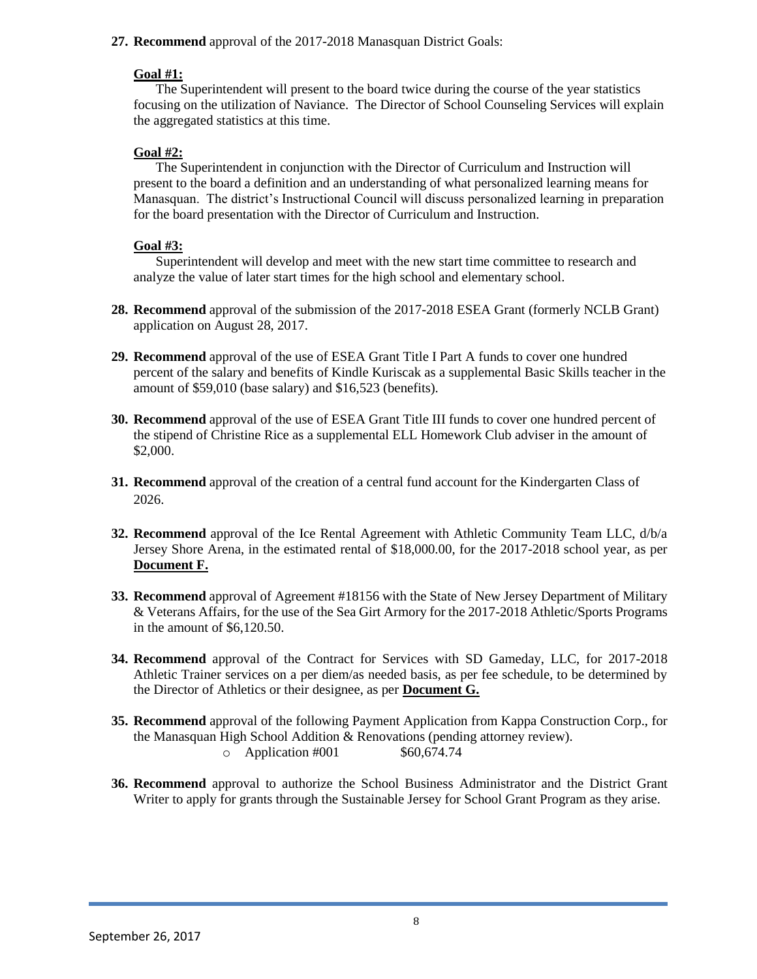#### **27. Recommend** approval of the 2017-2018 Manasquan District Goals:

#### **Goal #1:**

The Superintendent will present to the board twice during the course of the year statistics focusing on the utilization of Naviance. The Director of School Counseling Services will explain the aggregated statistics at this time.

### **Goal #2:**

The Superintendent in conjunction with the Director of Curriculum and Instruction will present to the board a definition and an understanding of what personalized learning means for Manasquan. The district's Instructional Council will discuss personalized learning in preparation for the board presentation with the Director of Curriculum and Instruction.

## **Goal #3:**

Superintendent will develop and meet with the new start time committee to research and analyze the value of later start times for the high school and elementary school.

- **28. Recommend** approval of the submission of the 2017-2018 ESEA Grant (formerly NCLB Grant) application on August 28, 2017.
- **29. Recommend** approval of the use of ESEA Grant Title I Part A funds to cover one hundred percent of the salary and benefits of Kindle Kuriscak as a supplemental Basic Skills teacher in the amount of \$59,010 (base salary) and \$16,523 (benefits).
- **30. Recommend** approval of the use of ESEA Grant Title III funds to cover one hundred percent of the stipend of Christine Rice as a supplemental ELL Homework Club adviser in the amount of \$2,000.
- **31. Recommend** approval of the creation of a central fund account for the Kindergarten Class of 2026.
- **32. Recommend** approval of the Ice Rental Agreement with Athletic Community Team LLC, d/b/a Jersey Shore Arena, in the estimated rental of \$18,000.00, for the 2017-2018 school year, as per **Document F.**
- **33. Recommend** approval of Agreement #18156 with the State of New Jersey Department of Military & Veterans Affairs, for the use of the Sea Girt Armory for the 2017-2018 Athletic/Sports Programs in the amount of \$6,120.50.
- **34. Recommend** approval of the Contract for Services with SD Gameday, LLC, for 2017-2018 Athletic Trainer services on a per diem/as needed basis, as per fee schedule, to be determined by the Director of Athletics or their designee, as per **Document G.**
- **35. Recommend** approval of the following Payment Application from Kappa Construction Corp., for the Manasquan High School Addition & Renovations (pending attorney review).  $\degree$  Application #001 \$60,674.74
- **36. Recommend** approval to authorize the School Business Administrator and the District Grant Writer to apply for grants through the Sustainable Jersey for School Grant Program as they arise.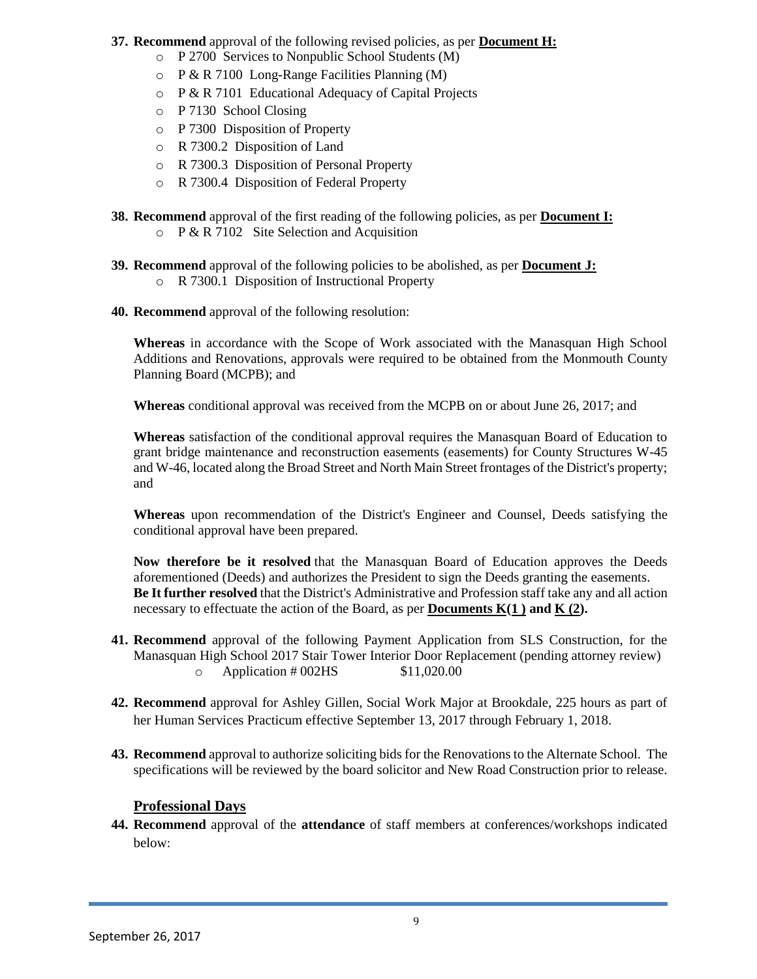- **37. Recommend** approval of the following revised policies, as per **Document H:**
	- o P 2700 Services to Nonpublic School Students (M)
	- o P & R 7100 Long-Range Facilities Planning (M)
	- o P & R 7101 Educational Adequacy of Capital Projects
	- o P 7130 School Closing
	- o P 7300 Disposition of Property
	- o R 7300.2 Disposition of Land
	- o R 7300.3 Disposition of Personal Property
	- o R 7300.4 Disposition of Federal Property
- **38. Recommend** approval of the first reading of the following policies, as per **Document I:**
	- $\circ$  P & R 7102 Site Selection and Acquisition
- **39. Recommend** approval of the following policies to be abolished, as per **Document J:** o R 7300.1 Disposition of Instructional Property
- **40. Recommend** approval of the following resolution:

**Whereas** in accordance with the Scope of Work associated with the Manasquan High School Additions and Renovations, approvals were required to be obtained from the Monmouth County Planning Board (MCPB); and

**Whereas** conditional approval was received from the MCPB on or about June 26, 2017; and

**Whereas** satisfaction of the conditional approval requires the Manasquan Board of Education to grant bridge maintenance and reconstruction easements (easements) for County Structures W-45 and W-46, located along the Broad Street and North Main Street frontages of the District's property; and

**Whereas** upon recommendation of the District's Engineer and Counsel, Deeds satisfying the conditional approval have been prepared.

**Now therefore be it resolved** that the Manasquan Board of Education approves the Deeds aforementioned (Deeds) and authorizes the President to sign the Deeds granting the easements. **Be It further resolved** that the District's Administrative and Profession staff take any and all action necessary to effectuate the action of the Board, as per **Documents K(1 ) and K (2).**

- **41. Recommend** approval of the following Payment Application from SLS Construction, for the Manasquan High School 2017 Stair Tower Interior Door Replacement (pending attorney review)  $\degree$  Application # 002HS \$11,020.00
- **42. Recommend** approval for Ashley Gillen, Social Work Major at Brookdale, 225 hours as part of her Human Services Practicum effective September 13, 2017 through February 1, 2018.
- **43. Recommend** approval to authorize soliciting bids for the Renovations to the Alternate School. The specifications will be reviewed by the board solicitor and New Road Construction prior to release.

## **Professional Days**

**44. Recommend** approval of the **attendance** of staff members at conferences/workshops indicated below: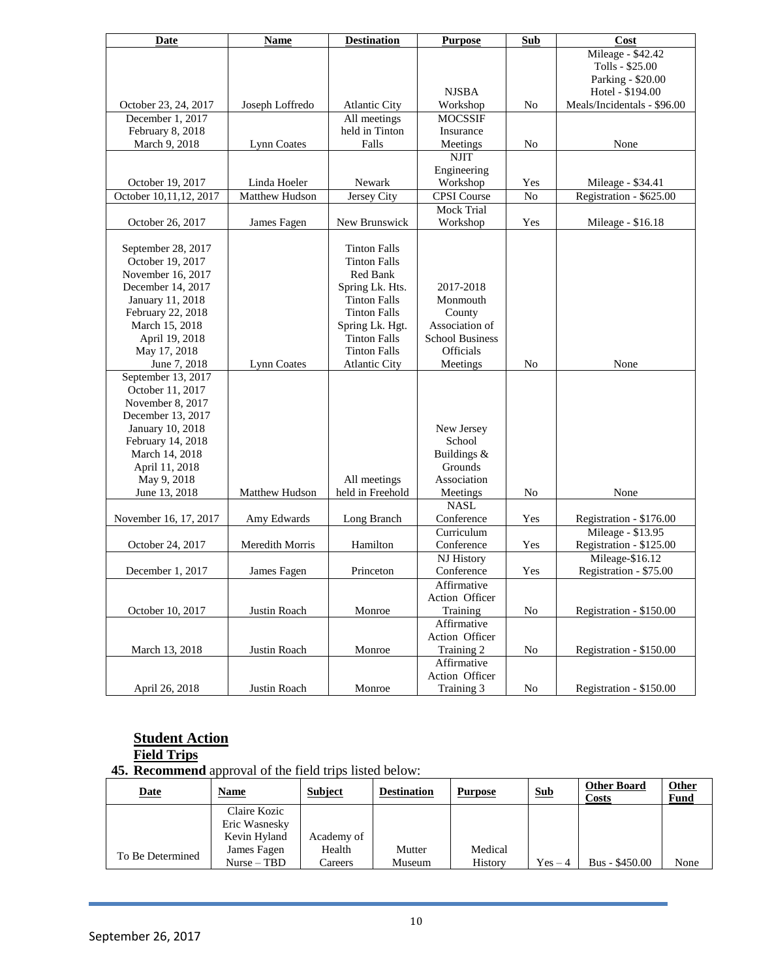| <b>Date</b>            | <b>Name</b>           | <b>Destination</b>   | <b>Purpose</b>         | Sub            | Cost                        |
|------------------------|-----------------------|----------------------|------------------------|----------------|-----------------------------|
|                        |                       |                      |                        |                | Mileage - \$42.42           |
|                        |                       |                      |                        |                | Tolls - \$25.00             |
|                        |                       |                      |                        |                | Parking - \$20.00           |
|                        |                       |                      | <b>NJSBA</b>           |                | Hotel - \$194.00            |
| October 23, 24, 2017   | Joseph Loffredo       | <b>Atlantic City</b> | Workshop               | No             | Meals/Incidentals - \$96.00 |
| December 1, 2017       |                       | All meetings         | <b>MOCSSIF</b>         |                |                             |
| February 8, 2018       |                       | held in Tinton       | Insurance              |                |                             |
| March 9, 2018          | Lynn Coates           | Falls                | Meetings               | N <sub>o</sub> | None                        |
|                        |                       |                      | <b>NJIT</b>            |                |                             |
|                        |                       |                      | Engineering            |                |                             |
| October 19, 2017       | Linda Hoeler          | Newark               | Workshop               | Yes            | Mileage - \$34.41           |
| October 10,11,12, 2017 | <b>Matthew Hudson</b> | Jersey City          | <b>CPSI</b> Course     | No             | Registration - \$625.00     |
|                        |                       |                      | Mock Trial             |                |                             |
| October 26, 2017       | James Fagen           | New Brunswick        | Workshop               | Yes            | Mileage - \$16.18           |
|                        |                       |                      |                        |                |                             |
| September 28, 2017     |                       | <b>Tinton Falls</b>  |                        |                |                             |
| October 19, 2017       |                       | <b>Tinton Falls</b>  |                        |                |                             |
| November 16, 2017      |                       | Red Bank             |                        |                |                             |
| December 14, 2017      |                       | Spring Lk. Hts.      | 2017-2018              |                |                             |
| January 11, 2018       |                       | <b>Tinton Falls</b>  | Monmouth               |                |                             |
| February 22, 2018      |                       | <b>Tinton Falls</b>  | County                 |                |                             |
| March 15, 2018         |                       | Spring Lk. Hgt.      | Association of         |                |                             |
| April 19, 2018         |                       | <b>Tinton Falls</b>  | <b>School Business</b> |                |                             |
| May 17, 2018           |                       | <b>Tinton Falls</b>  | Officials              |                |                             |
| June 7, 2018           | <b>Lynn Coates</b>    | <b>Atlantic City</b> | Meetings               | No             | None                        |
| September 13, 2017     |                       |                      |                        |                |                             |
| October 11, 2017       |                       |                      |                        |                |                             |
| November 8, 2017       |                       |                      |                        |                |                             |
| December 13, 2017      |                       |                      |                        |                |                             |
| January 10, 2018       |                       |                      | New Jersey             |                |                             |
| February 14, 2018      |                       |                      | School                 |                |                             |
| March 14, 2018         |                       |                      | Buildings &            |                |                             |
| April 11, 2018         |                       |                      | Grounds                |                |                             |
| May 9, 2018            |                       | All meetings         | Association            |                |                             |
| June 13, 2018          | Matthew Hudson        | held in Freehold     | Meetings               | N <sub>o</sub> | None                        |
|                        |                       |                      | <b>NASL</b>            |                |                             |
| November 16, 17, 2017  | Amy Edwards           | Long Branch          | Conference             | Yes            | Registration - \$176.00     |
|                        |                       |                      | Curriculum             |                | Mileage - \$13.95           |
| October 24, 2017       | Meredith Morris       | Hamilton             | Conference             | Yes            | Registration - \$125.00     |
|                        |                       |                      | NJ History             |                | Mileage-\$16.12             |
| December 1, 2017       | James Fagen           | Princeton            | Conference             | Yes            | Registration - \$75.00      |
|                        |                       |                      | Affirmative            |                |                             |
|                        |                       |                      | Action Officer         |                |                             |
| October 10, 2017       | Justin Roach          | Monroe               | Training               | No             | Registration - \$150.00     |
|                        |                       |                      | Affirmative            |                |                             |
|                        |                       |                      | Action Officer         |                |                             |
| March 13, 2018         | Justin Roach          | Monroe               | Training 2             | No             | Registration - \$150.00     |
|                        |                       |                      | Affirmative            |                |                             |
|                        |                       |                      | Action Officer         |                |                             |
| April 26, 2018         | Justin Roach          | Monroe               | Training 3             | N <sub>0</sub> | Registration - \$150.00     |
|                        |                       |                      |                        |                |                             |

#### **Student Action Field Trips**

**45. Recommend** approval of the field trips listed below:

| <u>Date</u>      | <b>Name</b>   | <b>Subject</b> | <b>Destination</b> | <b>Purpose</b> | <b>Sub</b> | <b>Other Board</b><br>Costs | <b>Other</b><br>Fund |
|------------------|---------------|----------------|--------------------|----------------|------------|-----------------------------|----------------------|
|                  | Claire Kozic  |                |                    |                |            |                             |                      |
|                  | Eric Wasnesky |                |                    |                |            |                             |                      |
|                  | Kevin Hyland  | Academy of     |                    |                |            |                             |                      |
| To Be Determined | James Fagen   | Health         | Mutter             | Medical        |            |                             |                      |
|                  | $Nurse - TBD$ | Careers        | Museum             | History        | $Yes-4$    | Bus - \$450.00              | None                 |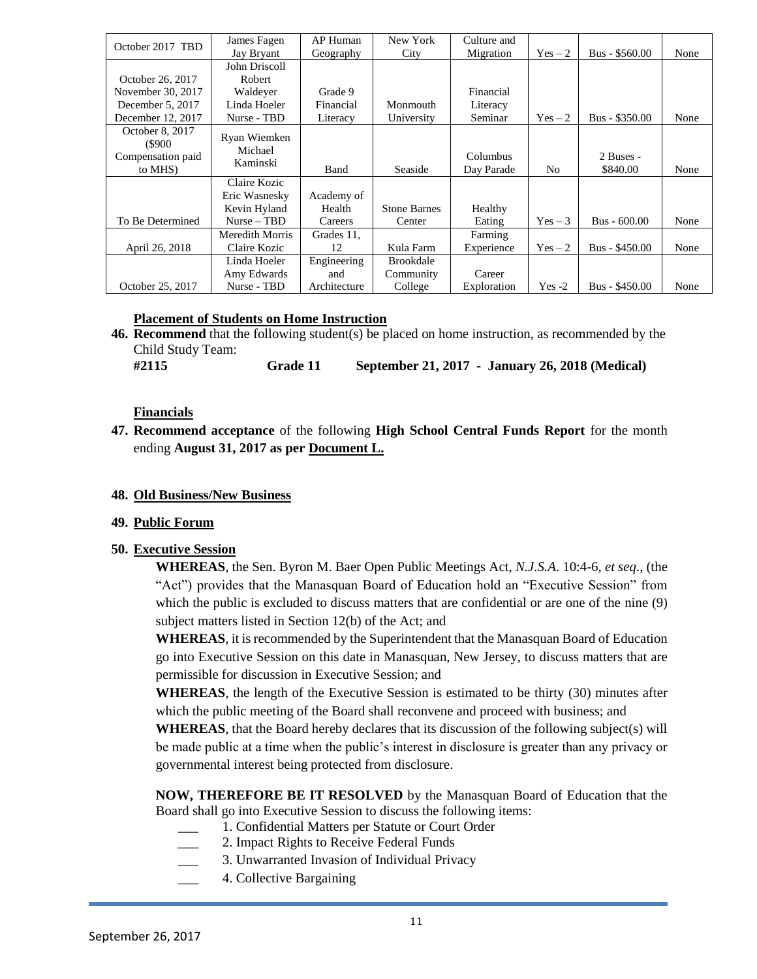| October 2017 TBD          | James Fagen                                   | AP Human             | New York            | Culture and |                |                 |      |
|---------------------------|-----------------------------------------------|----------------------|---------------------|-------------|----------------|-----------------|------|
|                           | Jay Bryant                                    | Geography            | City                | Migration   | $Yes-2$        | $Bus - $560.00$ | None |
|                           | John Driscoll                                 |                      |                     |             |                |                 |      |
| October 26, 2017          | Robert                                        |                      |                     |             |                |                 |      |
| November 30, 2017         | Waldever                                      | Grade 9              |                     | Financial   |                |                 |      |
| December 5, 2017          | Linda Hoeler                                  | Financial            | Monmouth            | Literacy    |                |                 |      |
| December 12, 2017         | Nurse - TBD                                   | Literacy             | University          | Seminar     | $Yes-2$        | Bus - \$350.00  | None |
| October 8, 2017<br>(S900) | Ryan Wiemken<br>Michael                       |                      |                     |             |                |                 |      |
| Compensation paid         | Kaminski                                      |                      |                     | Columbus    |                | 2 Buses -       |      |
| to MHS)                   |                                               | Band                 | Seaside             | Day Parade  | N <sub>0</sub> | \$840.00        | None |
|                           | Claire Kozic<br>Eric Wasnesky<br>Kevin Hyland | Academy of<br>Health | <b>Stone Barnes</b> | Healthy     |                |                 |      |
| To Be Determined          | $Nurse - TBD$                                 | Careers              | Center              | Eating      | $Yes-3$        | Bus - 600.00    | None |
|                           | Meredith Morris                               | Grades 11,           |                     | Farming     |                |                 |      |
| April 26, 2018            | Claire Kozic                                  | 12                   | Kula Farm           | Experience  | $Yes-2$        | Bus - \$450.00  | None |
|                           | Linda Hoeler                                  | Engineering          | Brookdale           |             |                |                 |      |
|                           | Amy Edwards                                   | and                  | Community           | Career      |                |                 |      |
| October 25, 2017          | Nurse - TBD                                   | Architecture         | College             | Exploration | $Yes -2$       | $Bus - $450.00$ | None |

## **Placement of Students on Home Instruction**

**46. Recommend** that the following student(s) be placed on home instruction, as recommended by the Child Study Team:

**#2115 Grade 11 September 21, 2017 - January 26, 2018 (Medical)**

#### **Financials**

**47. Recommend acceptance** of the following **High School Central Funds Report** for the month ending **August 31, 2017 as per Document L.**

#### **48. Old Business/New Business**

#### **49. Public Forum**

#### **50. Executive Session**

**WHEREAS**, the Sen. Byron M. Baer Open Public Meetings Act, *N.J.S.A*. 10:4-6, *et seq*., (the "Act") provides that the Manasquan Board of Education hold an "Executive Session" from which the public is excluded to discuss matters that are confidential or are one of the nine (9) subject matters listed in Section 12(b) of the Act; and

**WHEREAS**, it is recommended by the Superintendent that the Manasquan Board of Education go into Executive Session on this date in Manasquan, New Jersey, to discuss matters that are permissible for discussion in Executive Session; and

**WHEREAS**, the length of the Executive Session is estimated to be thirty (30) minutes after which the public meeting of the Board shall reconvene and proceed with business; and

**WHEREAS**, that the Board hereby declares that its discussion of the following subject(s) will be made public at a time when the public's interest in disclosure is greater than any privacy or governmental interest being protected from disclosure.

**NOW, THEREFORE BE IT RESOLVED** by the Manasquan Board of Education that the Board shall go into Executive Session to discuss the following items:

- \_\_\_ 1. Confidential Matters per Statute or Court Order
- 2. Impact Rights to Receive Federal Funds
- 3. Unwarranted Invasion of Individual Privacy
- \_\_\_ 4. Collective Bargaining